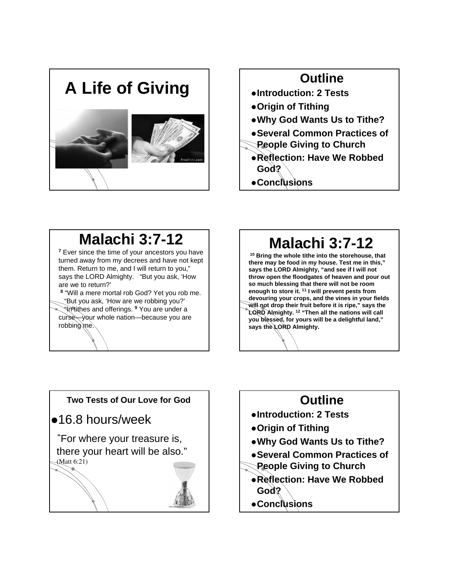



z**Conclusions**

## **Malachi 3:7-12**

**<sup>7</sup>** Ever since the time of your ancestors you have turned away from my decrees and have not kept them. Return to me, and I will return to you," says the LORD Almighty. "But you ask, 'How are we to return?'

**<sup>8</sup>** "Will a mere mortal rob God? Yet you rob me. "But you ask, 'How are we robbing you?' "In tithes and offerings. **<sup>9</sup>** You are under a curse—your whole nation—because you are robbing me.

## **Malachi 3:7-12**

**<sup>10</sup> Bring the whole tithe into the storehouse, that there may be food in my house. Test me in this," says the LORD Almighty, "and see if I will not throw open the floodgates of heaven and pour out so much blessing that there will not be room enough to store it. <sup>11</sup> I will prevent pests from devouring your crops, and the vines in your fields will not drop their fruit before it is ripe," says the LORD Almighty. <sup>12</sup> "Then all the nations will call you blessed, for yours will be a delightful land," says the LORD Almighty.**

# **Two Tests of Our Love for God**  $•16.8$  hours/week **"**For where your treasure is, there your heart will be also."  $M$ att 6:21)

### **Outline** z**Introduction: 2 Tests** z**Origin of Tithing** z**Why God Wants Us to Tithe?** z**Several Common Practices of People Giving to Church**  z**Reflection: Have We Robbed God?**  z**Conclusions**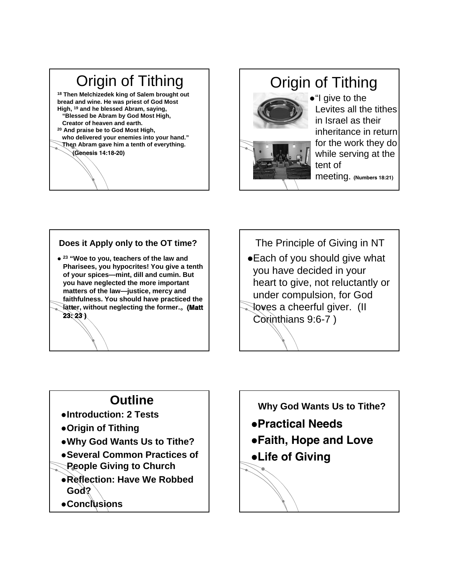### Origin of Tithing **<sup>18</sup> Then Melchizedek king of Salem brought out**

**bread and wine. He was priest of God Most High, <sup>19</sup> and he blessed Abram, saying, "Blessed be Abram by God Most High, Creator of heaven and earth. <sup>20</sup> And praise be to God Most High, who delivered your enemies into your hand." Then Abram gave him a tenth of everything.**

#### $(Genesis 14:18-20)$

## Origin of Tithing



 $\bullet$ "I give to the Levites all the tithes in Israel as their inheritance in return for the work they do while serving at the tent of  $meeting.$  (Numbers 18:21)

#### **Does it Apply only to the OT time?**

z **<sup>23</sup> "Woe to you, teachers of the law and Pharisees, you hypocrites! You give a tenth of your spices—mint, dill and cumin. But you have neglected the more important matters of the law—justice, mercy and faithfulness. You should have practiced the latter, without neglecting the former.**<sup>1</sup>

The Principle of Giving in NT • Each of you should give what

you have decided in your heart to give, not reluctantly or under compulsion, for God

loves a cheerful giver. (II Corinthians 9:6-7 )

## **Outline**

- z**Introduction: 2 Tests**
- z**Origin of Tithing**

 $23:23$ )

- z**Why God Wants Us to Tithe?**
- z**Several Common Practices of People Giving to Church**
- z**Reflection: Have We Robbed God?**
- z**Conclusions**

**Why God Wants Us to Tithe?**

- Practical Needs
- •Faith, Hope and Love
- •Life of Giving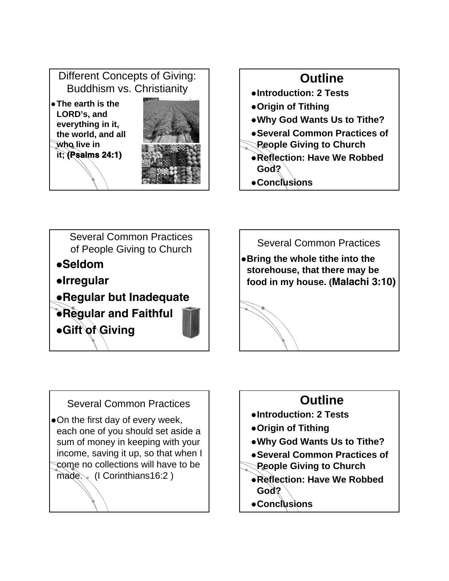





Several Common Practices

• On the first day of every week, each one of you should set aside a sum of money in keeping with your income, saving it up, so that when I come no collections will have to be made... (I Corinthians16:2)

## **Outline**

- z**Introduction: 2 Tests**
- z**Origin of Tithing**
- z**Why God Wants Us to Tithe?**
- z**Several Common Practices of**
- **People Giving to Church**
- z**Reflection: Have We Robbed God?**
- z**Conclusions**